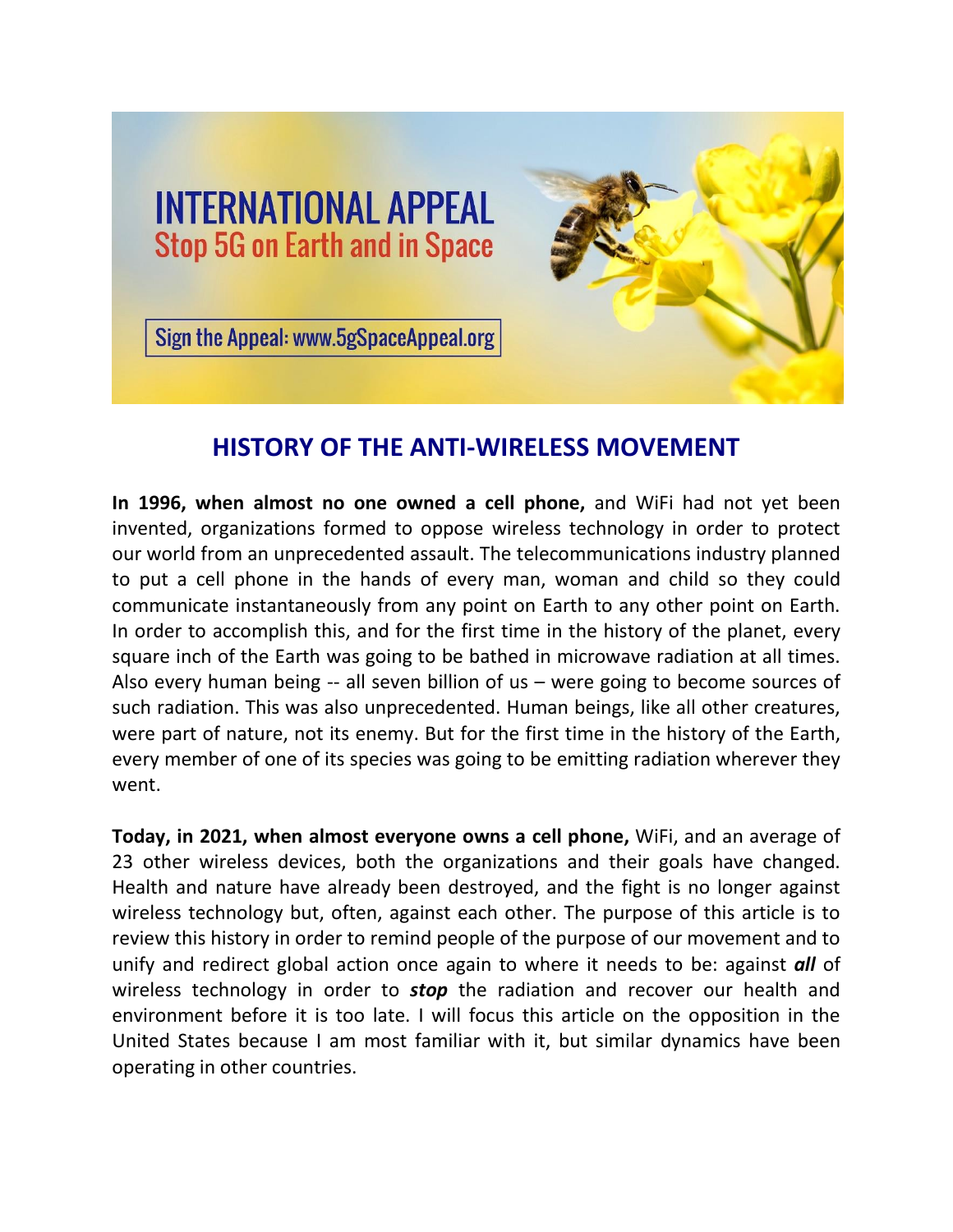

## **HISTORY OF THE ANTI-WIRELESS MOVEMENT**

**In 1996, when almost no one owned a cell phone,** and WiFi had not yet been invented, organizations formed to oppose wireless technology in order to protect our world from an unprecedented assault. The telecommunications industry planned to put a cell phone in the hands of every man, woman and child so they could communicate instantaneously from any point on Earth to any other point on Earth. In order to accomplish this, and for the first time in the history of the planet, every square inch of the Earth was going to be bathed in microwave radiation at all times. Also every human being -- all seven billion of us – were going to become sources of such radiation. This was also unprecedented. Human beings, like all other creatures, were part of nature, not its enemy. But for the first time in the history of the Earth, every member of one of its species was going to be emitting radiation wherever they went.

**Today, in 2021, when almost everyone owns a cell phone,** WiFi, and an average of 23 other wireless devices, both the organizations and their goals have changed. Health and nature have already been destroyed, and the fight is no longer against wireless technology but, often, against each other. The purpose of this article is to review this history in order to remind people of the purpose of our movement and to unify and redirect global action once again to where it needs to be: against *all* of wireless technology in order to *stop* the radiation and recover our health and environment before it is too late. I will focus this article on the opposition in the United States because I am most familiar with it, but similar dynamics have been operating in other countries.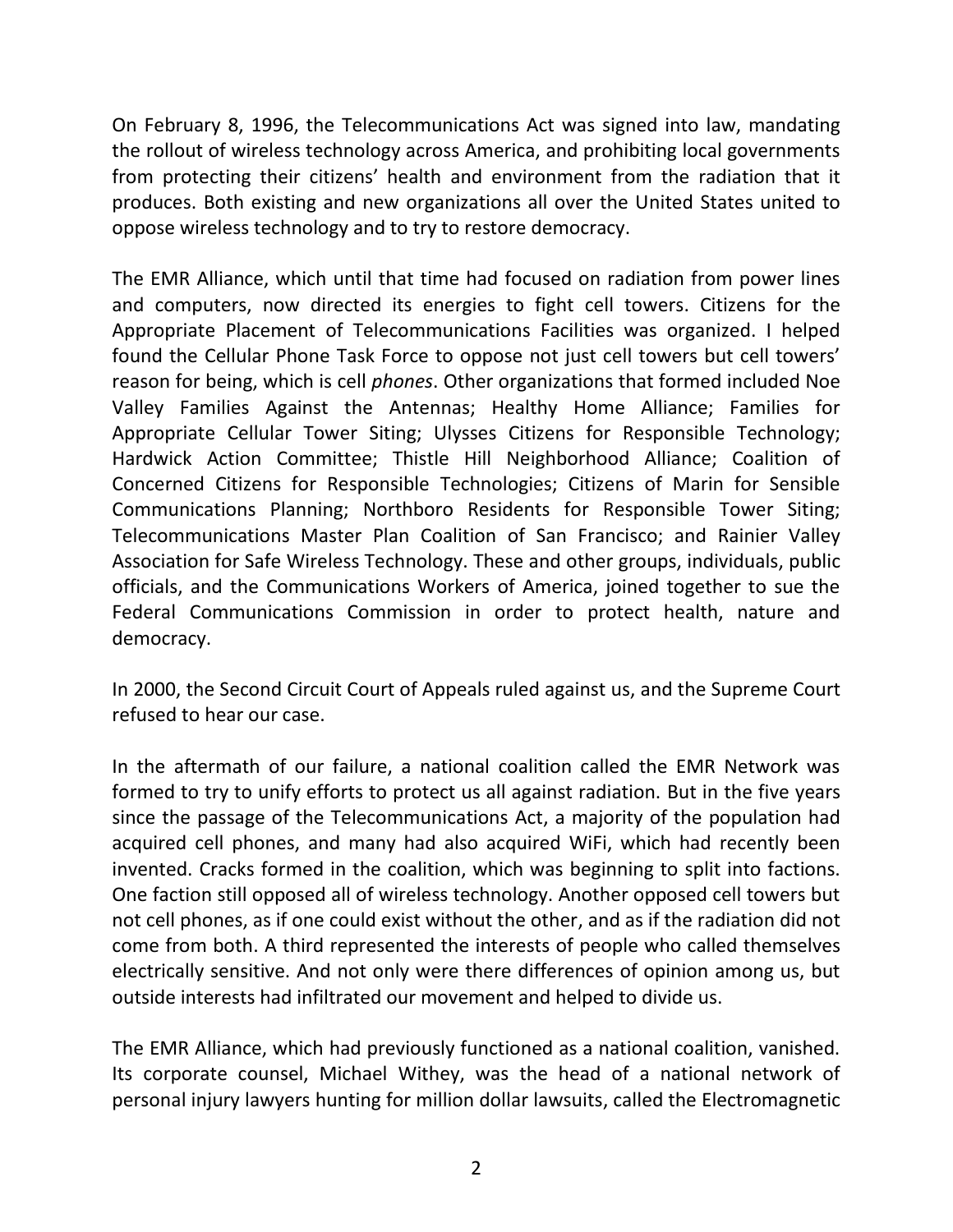On February 8, 1996, the Telecommunications Act was signed into law, mandating the rollout of wireless technology across America, and prohibiting local governments from protecting their citizens' health and environment from the radiation that it produces. Both existing and new organizations all over the United States united to oppose wireless technology and to try to restore democracy.

The EMR Alliance, which until that time had focused on radiation from power lines and computers, now directed its energies to fight cell towers. Citizens for the Appropriate Placement of Telecommunications Facilities was organized. I helped found the Cellular Phone Task Force to oppose not just cell towers but cell towers' reason for being, which is cell *phones*. Other organizations that formed included Noe Valley Families Against the Antennas; Healthy Home Alliance; Families for Appropriate Cellular Tower Siting; Ulysses Citizens for Responsible Technology; Hardwick Action Committee; Thistle Hill Neighborhood Alliance; Coalition of Concerned Citizens for Responsible Technologies; Citizens of Marin for Sensible Communications Planning; Northboro Residents for Responsible Tower Siting; Telecommunications Master Plan Coalition of San Francisco; and Rainier Valley Association for Safe Wireless Technology. These and other groups, individuals, public officials, and the Communications Workers of America, joined together to sue the Federal Communications Commission in order to protect health, nature and democracy.

In 2000, the Second Circuit Court of Appeals ruled against us, and the Supreme Court refused to hear our case.

In the aftermath of our failure, a national coalition called the EMR Network was formed to try to unify efforts to protect us all against radiation. But in the five years since the passage of the Telecommunications Act, a majority of the population had acquired cell phones, and many had also acquired WiFi, which had recently been invented. Cracks formed in the coalition, which was beginning to split into factions. One faction still opposed all of wireless technology. Another opposed cell towers but not cell phones, as if one could exist without the other, and as if the radiation did not come from both. A third represented the interests of people who called themselves electrically sensitive. And not only were there differences of opinion among us, but outside interests had infiltrated our movement and helped to divide us.

The EMR Alliance, which had previously functioned as a national coalition, vanished. Its corporate counsel, Michael Withey, was the head of a national network of personal injury lawyers hunting for million dollar lawsuits, called the Electromagnetic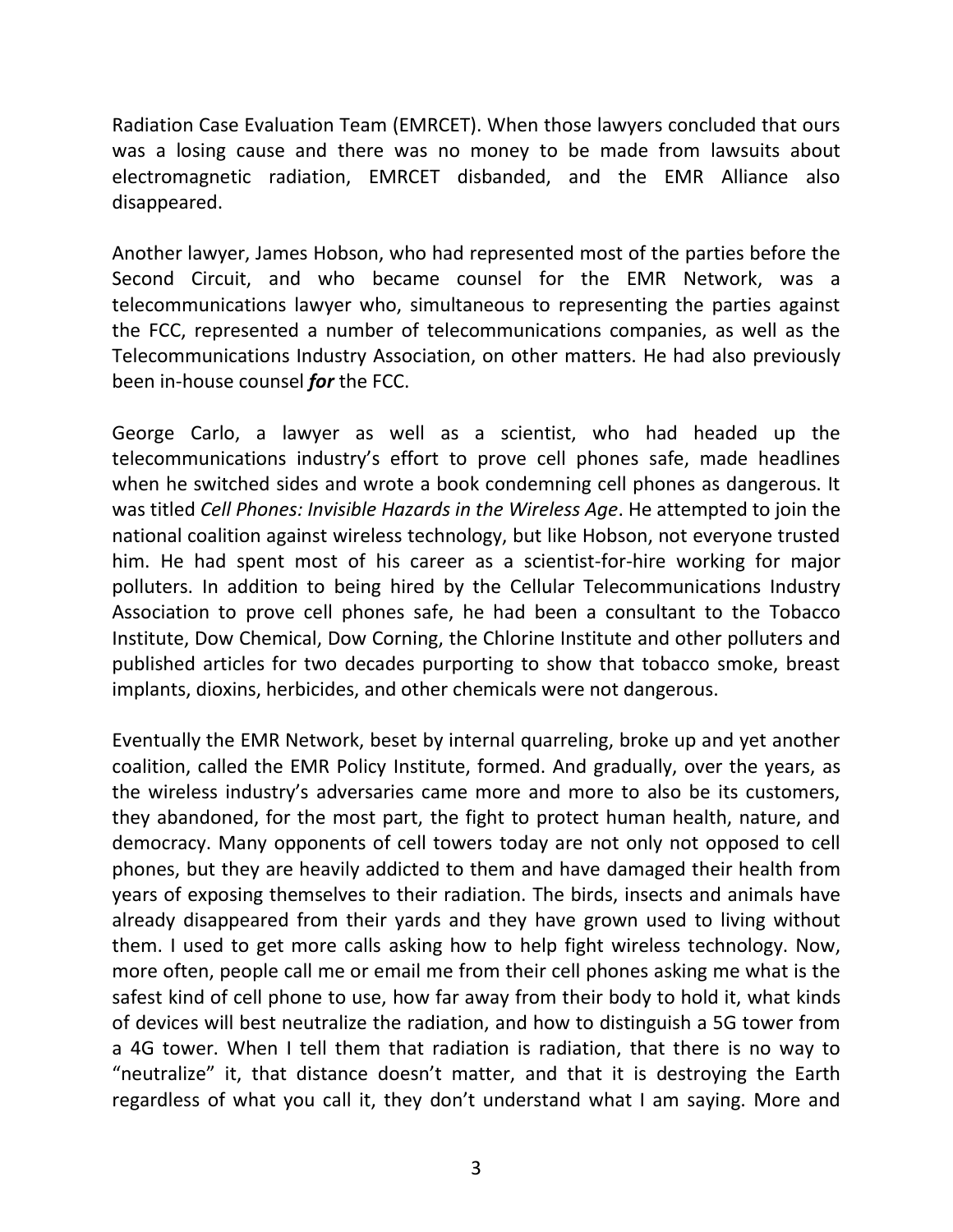Radiation Case Evaluation Team (EMRCET). When those lawyers concluded that ours was a losing cause and there was no money to be made from lawsuits about electromagnetic radiation, EMRCET disbanded, and the EMR Alliance also disappeared.

Another lawyer, James Hobson, who had represented most of the parties before the Second Circuit, and who became counsel for the EMR Network, was a telecommunications lawyer who, simultaneous to representing the parties against the FCC, represented a number of telecommunications companies, as well as the Telecommunications Industry Association, on other matters. He had also previously been in-house counsel *for* the FCC.

George Carlo, a lawyer as well as a scientist, who had headed up the telecommunications industry's effort to prove cell phones safe, made headlines when he switched sides and wrote a book condemning cell phones as dangerous. It was titled *Cell Phones: Invisible Hazards in the Wireless Age*. He attempted to join the national coalition against wireless technology, but like Hobson, not everyone trusted him. He had spent most of his career as a scientist-for-hire working for major polluters. In addition to being hired by the Cellular Telecommunications Industry Association to prove cell phones safe, he had been a consultant to the Tobacco Institute, Dow Chemical, Dow Corning, the Chlorine Institute and other polluters and published articles for two decades purporting to show that tobacco smoke, breast implants, dioxins, herbicides, and other chemicals were not dangerous.

Eventually the EMR Network, beset by internal quarreling, broke up and yet another coalition, called the EMR Policy Institute, formed. And gradually, over the years, as the wireless industry's adversaries came more and more to also be its customers, they abandoned, for the most part, the fight to protect human health, nature, and democracy. Many opponents of cell towers today are not only not opposed to cell phones, but they are heavily addicted to them and have damaged their health from years of exposing themselves to their radiation. The birds, insects and animals have already disappeared from their yards and they have grown used to living without them. I used to get more calls asking how to help fight wireless technology. Now, more often, people call me or email me from their cell phones asking me what is the safest kind of cell phone to use, how far away from their body to hold it, what kinds of devices will best neutralize the radiation, and how to distinguish a 5G tower from a 4G tower. When I tell them that radiation is radiation, that there is no way to "neutralize" it, that distance doesn't matter, and that it is destroying the Earth regardless of what you call it, they don't understand what I am saying. More and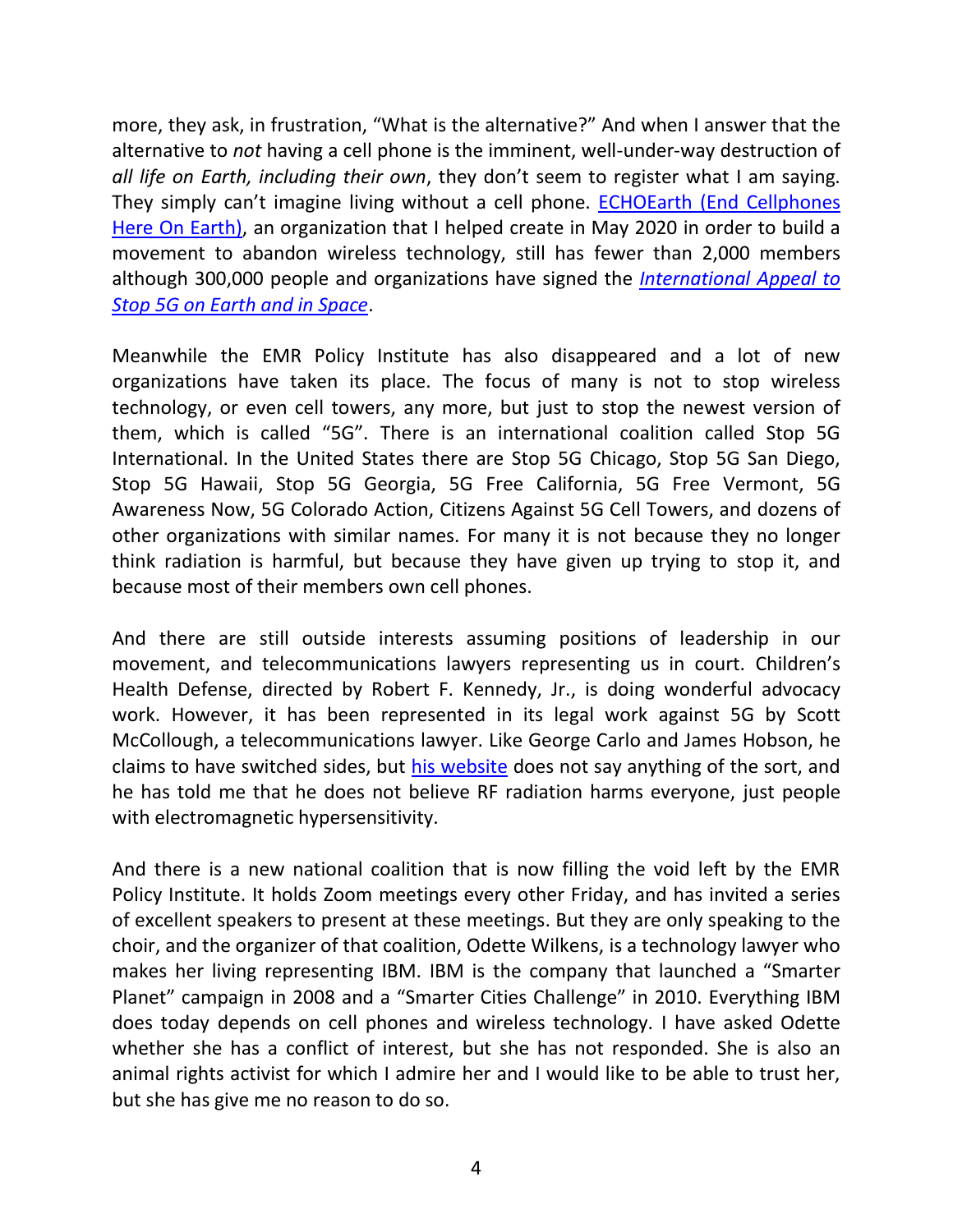more, they ask, in frustration, "What is the alternative?" And when I answer that the alternative to *not* having a cell phone is the imminent, well-under-way destruction of *all life on Earth, including their own*, they don't seem to register what I am saying. They simply can't imagine living without a cell phone. [ECHOEarth \(End Cellphones](https://www.echoearth.org/)  [Here On Earth\),](https://www.echoearth.org/) an organization that I helped create in May 2020 in order to build a movement to abandon wireless technology, still has fewer than 2,000 members although 300,000 people and organizations have signed the *[International Appeal to](https://www.5gspaceappeal.org/)  [Stop 5G on Earth and in Space](https://www.5gspaceappeal.org/)*.

Meanwhile the EMR Policy Institute has also disappeared and a lot of new organizations have taken its place. The focus of many is not to stop wireless technology, or even cell towers, any more, but just to stop the newest version of them, which is called "5G". There is an international coalition called Stop 5G International. In the United States there are Stop 5G Chicago, Stop 5G San Diego, Stop 5G Hawaii, Stop 5G Georgia, 5G Free California, 5G Free Vermont, 5G Awareness Now, 5G Colorado Action, Citizens Against 5G Cell Towers, and dozens of other organizations with similar names. For many it is not because they no longer think radiation is harmful, but because they have given up trying to stop it, and because most of their members own cell phones.

And there are still outside interests assuming positions of leadership in our movement, and telecommunications lawyers representing us in court. Children's Health Defense, directed by Robert F. Kennedy, Jr., is doing wonderful advocacy work. However, it has been represented in its legal work against 5G by Scott McCollough, a telecommunications lawyer. Like George Carlo and James Hobson, he claims to have switched sides, but [his website](https://www.dotlaw.biz/) does not say anything of the sort, and he has told me that he does not believe RF radiation harms everyone, just people with electromagnetic hypersensitivity.

And there is a new national coalition that is now filling the void left by the EMR Policy Institute. It holds Zoom meetings every other Friday, and has invited a series of excellent speakers to present at these meetings. But they are only speaking to the choir, and the organizer of that coalition, Odette Wilkens, is a technology lawyer who makes her living representing IBM. IBM is the company that launched a "Smarter Planet" campaign in 2008 and a "Smarter Cities Challenge" in 2010. Everything IBM does today depends on cell phones and wireless technology. I have asked Odette whether she has a conflict of interest, but she has not responded. She is also an animal rights activist for which I admire her and I would like to be able to trust her, but she has give me no reason to do so.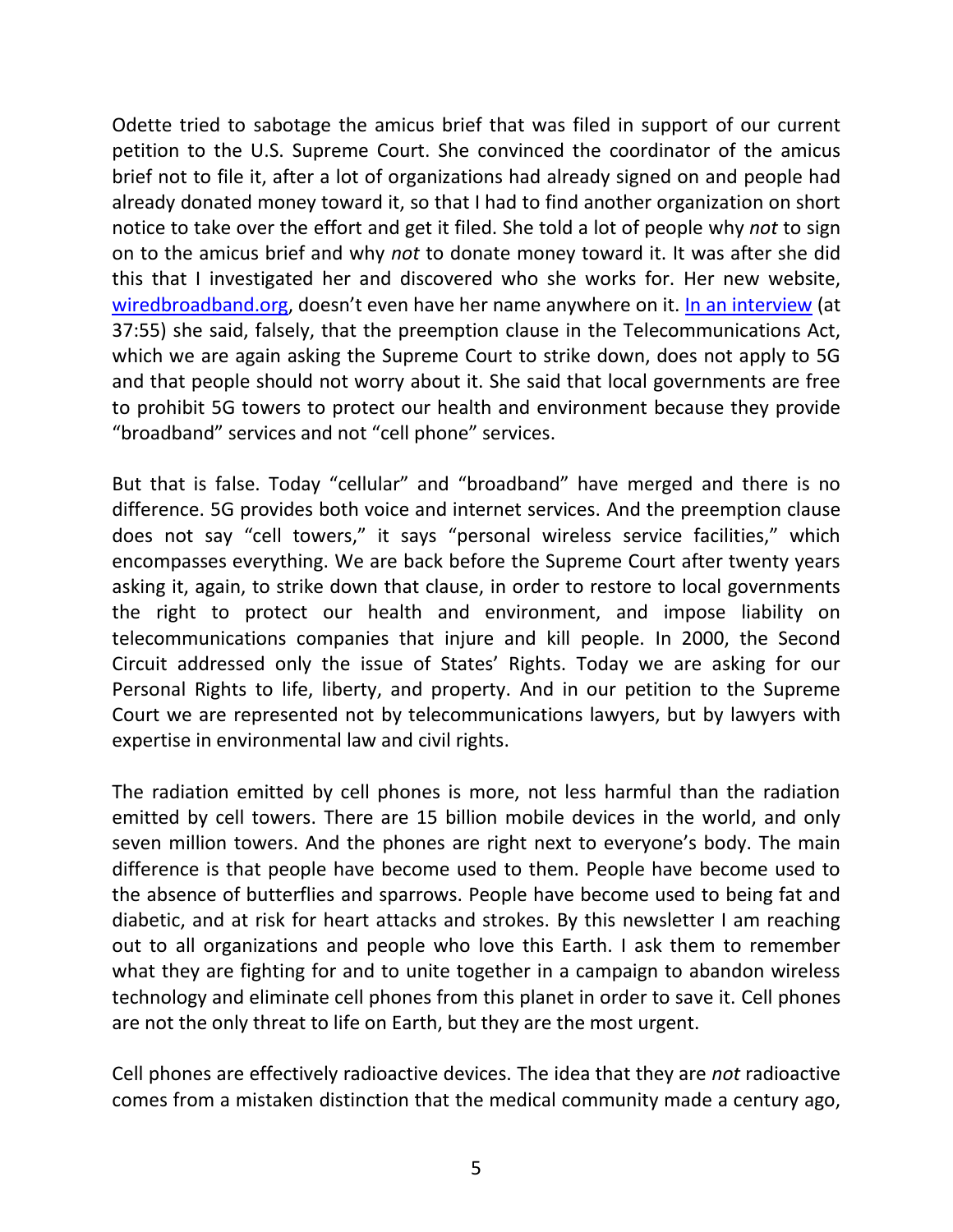Odette tried to sabotage the amicus brief that was filed in support of our current petition to the U.S. Supreme Court. She convinced the coordinator of the amicus brief not to file it, after a lot of organizations had already signed on and people had already donated money toward it, so that I had to find another organization on short notice to take over the effort and get it filed. She told a lot of people why *not* to sign on to the amicus brief and why *not* to donate money toward it. It was after she did this that I investigated her and discovered who she works for. Her new website, [wiredbroadband.org,](https://www.wiredbroadband.org/) doesn't even have her name anywhere on it. [In an interview](https://www.youtube.com/watch?v=2d-d5V-fnlM) (at 37:55) she said, falsely, that the preemption clause in the Telecommunications Act, which we are again asking the Supreme Court to strike down, does not apply to 5G and that people should not worry about it. She said that local governments are free to prohibit 5G towers to protect our health and environment because they provide "broadband" services and not "cell phone" services.

But that is false. Today "cellular" and "broadband" have merged and there is no difference. 5G provides both voice and internet services. And the preemption clause does not say "cell towers," it says "personal wireless service facilities," which encompasses everything. We are back before the Supreme Court after twenty years asking it, again, to strike down that clause, in order to restore to local governments the right to protect our health and environment, and impose liability on telecommunications companies that injure and kill people. In 2000, the Second Circuit addressed only the issue of States' Rights. Today we are asking for our Personal Rights to life, liberty, and property. And in our petition to the Supreme Court we are represented not by telecommunications lawyers, but by lawyers with expertise in environmental law and civil rights.

The radiation emitted by cell phones is more, not less harmful than the radiation emitted by cell towers. There are 15 billion mobile devices in the world, and only seven million towers. And the phones are right next to everyone's body. The main difference is that people have become used to them. People have become used to the absence of butterflies and sparrows. People have become used to being fat and diabetic, and at risk for heart attacks and strokes. By this newsletter I am reaching out to all organizations and people who love this Earth. I ask them to remember what they are fighting for and to unite together in a campaign to abandon wireless technology and eliminate cell phones from this planet in order to save it. Cell phones are not the only threat to life on Earth, but they are the most urgent.

Cell phones are effectively radioactive devices. The idea that they are *not* radioactive comes from a mistaken distinction that the medical community made a century ago,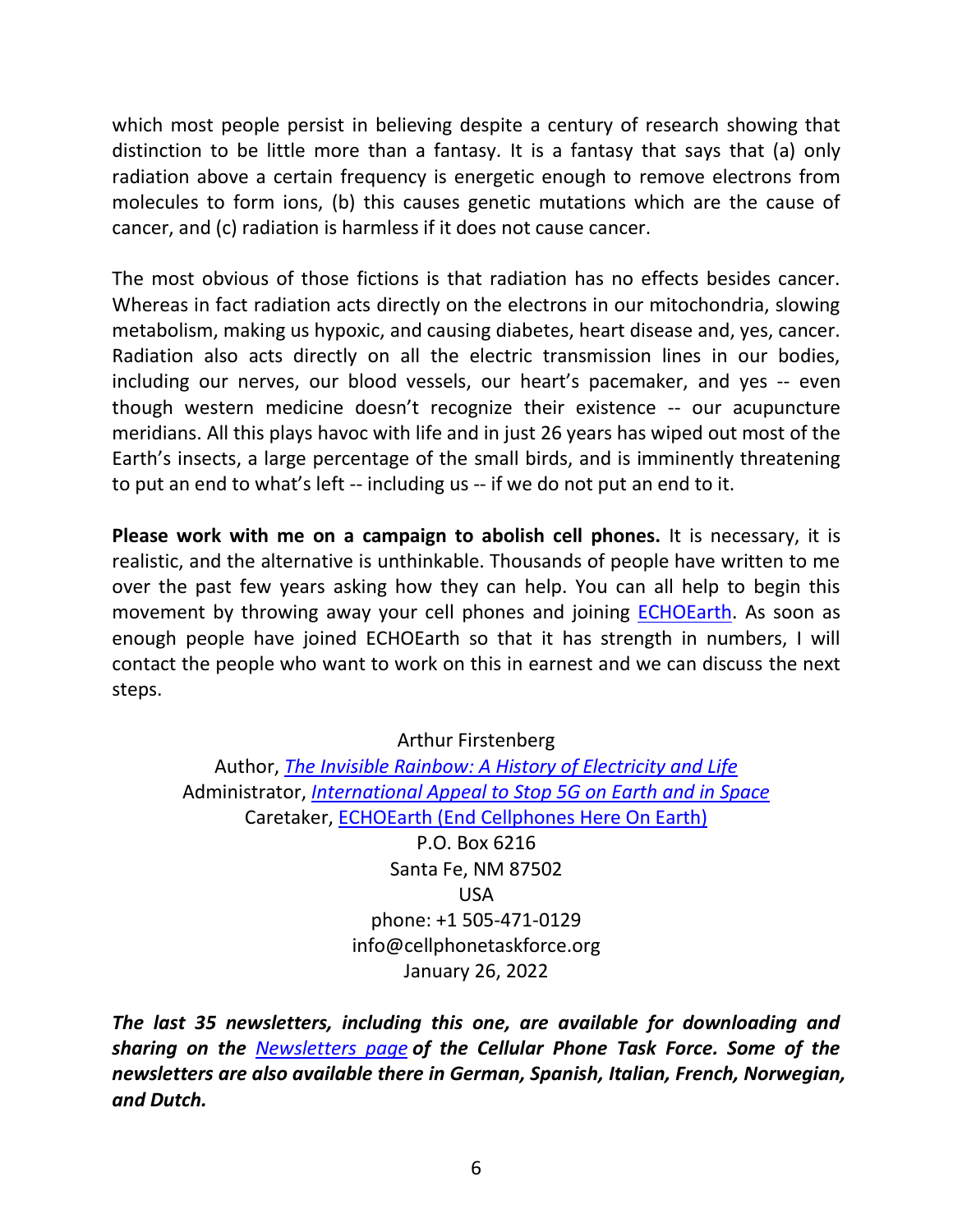which most people persist in believing despite a century of research showing that distinction to be little more than a fantasy. It is a fantasy that says that (a) only radiation above a certain frequency is energetic enough to remove electrons from molecules to form ions, (b) this causes genetic mutations which are the cause of cancer, and (c) radiation is harmless if it does not cause cancer.

The most obvious of those fictions is that radiation has no effects besides cancer. Whereas in fact radiation acts directly on the electrons in our mitochondria, slowing metabolism, making us hypoxic, and causing diabetes, heart disease and, yes, cancer. Radiation also acts directly on all the electric transmission lines in our bodies, including our nerves, our blood vessels, our heart's pacemaker, and yes -- even though western medicine doesn't recognize their existence -- our acupuncture meridians. All this plays havoc with life and in just 26 years has wiped out most of the Earth's insects, a large percentage of the small birds, and is imminently threatening to put an end to what's left -- including us -- if we do not put an end to it.

**Please work with me on a campaign to abolish cell phones.** It is necessary, it is realistic, and the alternative is unthinkable. Thousands of people have written to me over the past few years asking how they can help. You can all help to begin this movement by throwing away your cell phones and joining **ECHOEarth**. As soon as enough people have joined ECHOEarth so that it has strength in numbers, I will contact the people who want to work on this in earnest and we can discuss the next steps.

## Arthur Firstenberg

Author, *[The Invisible Rainbow: A History of Electricity and Life](https://www.chelseagreen.com/product/the-invisible-rainbow/)* Administrator, *[International Appeal to Stop 5G on Earth and in Space](https://www.5gspaceappeal.org/)* Caretaker, [ECHOEarth \(End Cellphones Here On Earth\)](https://www.echoearth.org/) P.O. Box 6216 Santa Fe, NM 87502 USA phone: +1 505-471-0129 info@cellphonetaskforce.org January 26, 2022

*The last 35 newsletters, including this one, are available for downloading and sharing on the [Newsletters page](https://www.cellphonetaskforce.org/newsletters/) of the Cellular Phone Task Force. Some of the newsletters are also available there in German, Spanish, Italian, French, Norwegian, and Dutch.*